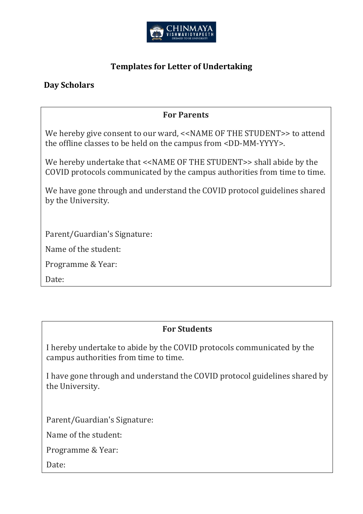

# **Templates for Letter of Undertaking**

#### **Day Scholars**

# **For Parents**

We hereby give consent to our ward, <<NAME OF THE STUDENT>> to attend the offline classes to be held on the campus from <DD-MM-YYYY>.

We hereby undertake that <<NAME OF THE STUDENT>> shall abide by the COVID protocols communicated by the campus authorities from time to time.

We have gone through and understand the COVID protocol guidelines shared by the University.

Parent/Guardian's Signature:

Name of the student:

Programme & Year:

Date:

## **For Students**

I hereby undertake to abide by the COVID protocols communicated by the campus authorities from time to time.

I have gone through and understand the COVID protocol guidelines shared by the University.

Parent/Guardian's Signature:

Name of the student:

Programme & Year:

Date: